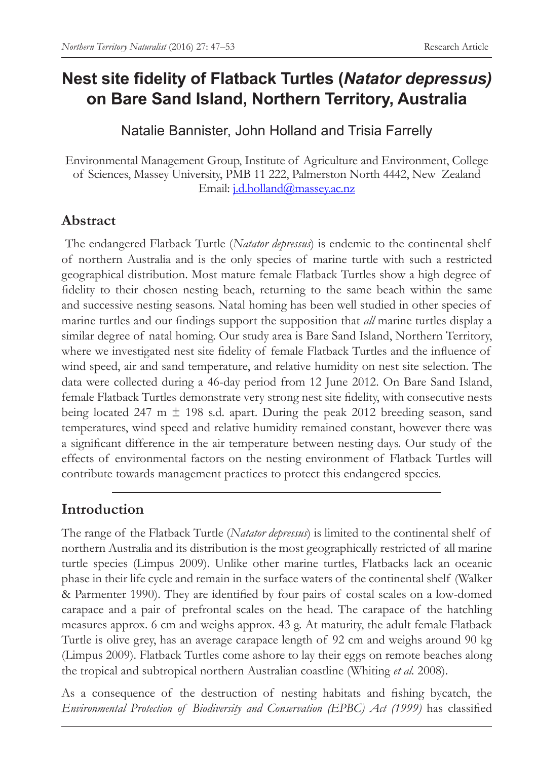# **Nest site fidelity of Flatback Turtles (***Natator depressus)* **on Bare Sand Island, Northern Territory, Australia**

Natalie Bannister, John Holland and Trisia Farrelly

Environmental Management Group, Institute of Agriculture and Environment, College of Sciences, Massey University, PMB 11 222, Palmerston North 4442, New Zealand Email: j.d.holland@massey.ac.nz

## **Abstract**

 The endangered Flatback Turtle (*Natator depressus*) is endemic to the continental shelf of northern Australia and is the only species of marine turtle with such a restricted geographical distribution. Most mature female Flatback Turtles show a high degree of fidelity to their chosen nesting beach, returning to the same beach within the same and successive nesting seasons. Natal homing has been well studied in other species of marine turtles and our findings support the supposition that *all* marine turtles display a similar degree of natal homing. Our study area is Bare Sand Island, Northern Territory, where we investigated nest site fidelity of female Flatback Turtles and the influence of wind speed, air and sand temperature, and relative humidity on nest site selection. The data were collected during a 46-day period from 12 June 2012. On Bare Sand Island, female Flatback Turtles demonstrate very strong nest site fidelity, with consecutive nests being located 247 m  $\pm$  198 s.d. apart. During the peak 2012 breeding season, sand temperatures, wind speed and relative humidity remained constant, however there was a significant difference in the air temperature between nesting days. Our study of the effects of environmental factors on the nesting environment of Flatback Turtles will contribute towards management practices to protect this endangered species.

# **Introduction**

The range of the Flatback Turtle (*Natator depressus*) is limited to the continental shelf of northern Australia and its distribution is the most geographically restricted of all marine turtle species (Limpus 2009). Unlike other marine turtles, Flatbacks lack an oceanic phase in their life cycle and remain in the surface waters of the continental shelf (Walker & Parmenter 1990). They are identified by four pairs of costal scales on a low-domed carapace and a pair of prefrontal scales on the head. The carapace of the hatchling measures approx. 6 cm and weighs approx. 43 g. At maturity, the adult female Flatback Turtle is olive grey, has an average carapace length of 92 cm and weighs around 90 kg (Limpus 2009). Flatback Turtles come ashore to lay their eggs on remote beaches along the tropical and subtropical northern Australian coastline (Whiting *et al.* 2008).

As a consequence of the destruction of nesting habitats and fishing bycatch, the *Environmental Protection of Biodiversity and Conservation (EPBC) Act (1999)* has classified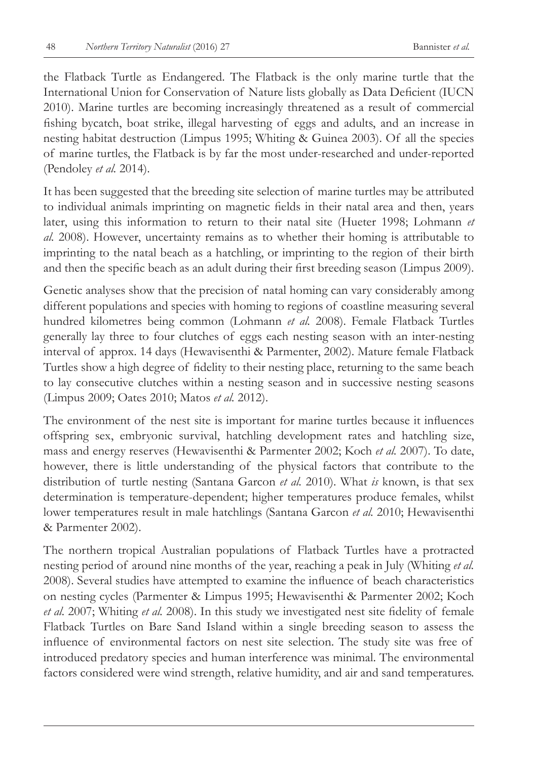the Flatback Turtle as Endangered. The Flatback is the only marine turtle that the International Union for Conservation of Nature lists globally as Data Deficient (IUCN 2010). Marine turtles are becoming increasingly threatened as a result of commercial fishing bycatch, boat strike, illegal harvesting of eggs and adults, and an increase in nesting habitat destruction (Limpus 1995; Whiting & Guinea 2003). Of all the species of marine turtles, the Flatback is by far the most under-researched and under-reported (Pendoley *et al.* 2014).

It has been suggested that the breeding site selection of marine turtles may be attributed to individual animals imprinting on magnetic fields in their natal area and then, years later, using this information to return to their natal site (Hueter 1998; Lohmann *et al.* 2008). However, uncertainty remains as to whether their homing is attributable to imprinting to the natal beach as a hatchling, or imprinting to the region of their birth and then the specific beach as an adult during their first breeding season (Limpus 2009).

Genetic analyses show that the precision of natal homing can vary considerably among different populations and species with homing to regions of coastline measuring several hundred kilometres being common (Lohmann *et al.* 2008). Female Flatback Turtles generally lay three to four clutches of eggs each nesting season with an inter-nesting interval of approx. 14 days (Hewavisenthi & Parmenter, 2002). Mature female Flatback Turtles show a high degree of fidelity to their nesting place, returning to the same beach to lay consecutive clutches within a nesting season and in successive nesting seasons (Limpus 2009; Oates 2010; Matos *et al.* 2012).

The environment of the nest site is important for marine turtles because it influences offspring sex, embryonic survival, hatchling development rates and hatchling size, mass and energy reserves (Hewavisenthi & Parmenter 2002; Koch *et al.* 2007). To date, however, there is little understanding of the physical factors that contribute to the distribution of turtle nesting (Santana Garcon *et al.* 2010). What *is* known, is that sex determination is temperature-dependent; higher temperatures produce females, whilst lower temperatures result in male hatchlings (Santana Garcon *et al.* 2010; Hewavisenthi & Parmenter 2002).

The northern tropical Australian populations of Flatback Turtles have a protracted nesting period of around nine months of the year, reaching a peak in July (Whiting *et al.* 2008). Several studies have attempted to examine the influence of beach characteristics on nesting cycles (Parmenter & Limpus 1995; Hewavisenthi & Parmenter 2002; Koch *et al.* 2007; Whiting *et al.* 2008). In this study we investigated nest site fidelity of female Flatback Turtles on Bare Sand Island within a single breeding season to assess the influence of environmental factors on nest site selection. The study site was free of introduced predatory species and human interference was minimal. The environmental factors considered were wind strength, relative humidity, and air and sand temperatures.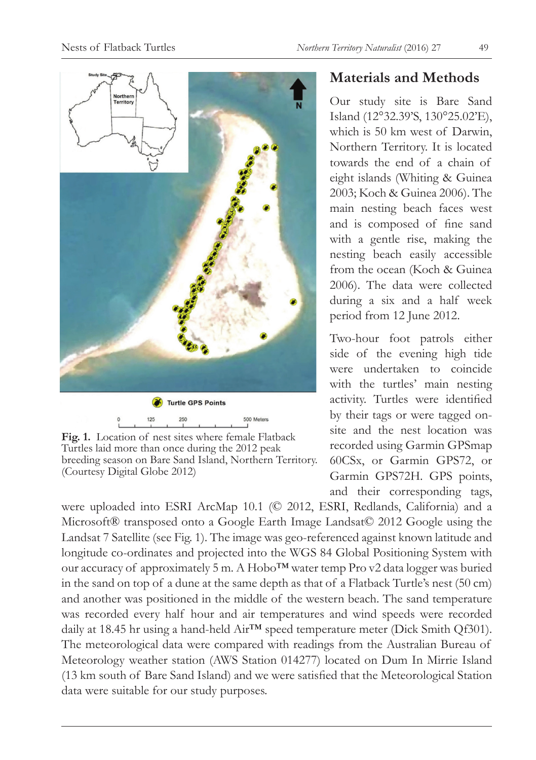

**Fig. 1.** Location of nest sites where female Flatback Turtles laid more than once during the 2012 peak breeding season on Bare Sand Island, Northern Territory. (Courtesy Digital Globe 2012)

## **Materials and Methods**

Our study site is Bare Sand Island (12°32.39'S, 130°25.02'E), which is 50 km west of Darwin, Northern Territory. It is located towards the end of a chain of eight islands (Whiting & Guinea 2003; Koch & Guinea 2006). The main nesting beach faces west and is composed of fine sand with a gentle rise, making the nesting beach easily accessible from the ocean (Koch & Guinea 2006). The data were collected during a six and a half week period from 12 June 2012.

Two-hour foot patrols either side of the evening high tide were undertaken to coincide with the turtles' main nesting activity. Turtles were identified by their tags or were tagged onsite and the nest location was recorded using Garmin GPSmap 60CSx, or Garmin GPS72, or Garmin GPS72H. GPS points, and their corresponding tags,

were uploaded into ESRI ArcMap 10.1 (© 2012, ESRI, Redlands, California) and a Microsoft® transposed onto a Google Earth Image Landsat© 2012 Google using the Landsat 7 Satellite (see Fig. 1). The image was geo-referenced against known latitude and longitude co-ordinates and projected into the WGS 84 Global Positioning System with our accuracy of approximately 5 m. A Hobo™ water temp Pro v2 data logger was buried in the sand on top of a dune at the same depth as that of a Flatback Turtle's nest (50 cm) and another was positioned in the middle of the western beach. The sand temperature was recorded every half hour and air temperatures and wind speeds were recorded daily at 18.45 hr using a hand-held Air<sup>™</sup> speed temperature meter (Dick Smith Of301). The meteorological data were compared with readings from the Australian Bureau of Meteorology weather station (AWS Station 014277) located on Dum In Mirrie Island (13 km south of Bare Sand Island) and we were satisfied that the Meteorological Station data were suitable for our study purposes.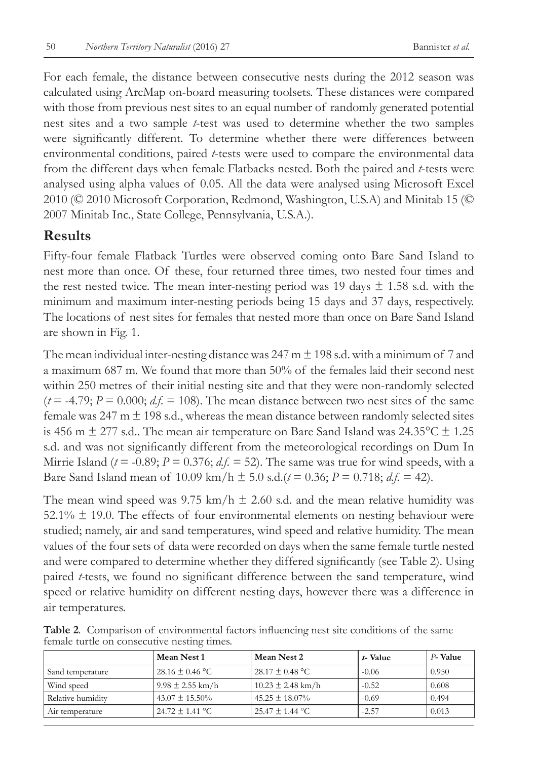For each female, the distance between consecutive nests during the 2012 season was calculated using ArcMap on-board measuring toolsets. These distances were compared with those from previous nest sites to an equal number of randomly generated potential nest sites and a two sample *t*-test was used to determine whether the two samples were significantly different. To determine whether there were differences between environmental conditions, paired *t*-tests were used to compare the environmental data from the different days when female Flatbacks nested. Both the paired and *t*-tests were analysed using alpha values of 0.05. All the data were analysed using Microsoft Excel 2010 (© 2010 Microsoft Corporation, Redmond, Washington, U.S.A) and Minitab 15 (© 2007 Minitab Inc., State College, Pennsylvania, U.S.A.).

#### **Results**

Fifty-four female Flatback Turtles were observed coming onto Bare Sand Island to nest more than once. Of these, four returned three times, two nested four times and the rest nested twice. The mean inter-nesting period was 19 days  $\pm$  1.58 s.d. with the minimum and maximum inter-nesting periods being 15 days and 37 days, respectively. The locations of nest sites for females that nested more than once on Bare Sand Island are shown in Fig. 1.

The mean individual inter-nesting distance was  $247 \text{ m} \pm 198 \text{ s.d.}$  with a minimum of 7 and a maximum 687 m. We found that more than 50% of the females laid their second nest within 250 metres of their initial nesting site and that they were non-randomly selected  $(t = -4.79; P = 0.000; d.f. = 108)$ . The mean distance between two nest sites of the same female was 247 m  $\pm$  198 s.d., whereas the mean distance between randomly selected sites is 456 m  $\pm$  277 s.d.. The mean air temperature on Bare Sand Island was 24.35 °C  $\pm$  1.25 s.d. and was not significantly different from the meteorological recordings on Dum In Mirrie Island ( $t = -0.89$ ;  $P = 0.376$ ;  $df = 52$ ). The same was true for wind speeds, with a Bare Sand Island mean of  $10.09 \text{ km/h} \pm 5.0 \text{ s.d.}(t = 0.36; P = 0.718; d.f. = 42)$ .

The mean wind speed was  $9.75 \text{ km/h} \pm 2.60 \text{ s.d.}$  and the mean relative humidity was  $52.1\% \pm 19.0$ . The effects of four environmental elements on nesting behaviour were studied; namely, air and sand temperatures, wind speed and relative humidity. The mean values of the four sets of data were recorded on days when the same female turtle nested and were compared to determine whether they differed significantly (see Table 2). Using paired *t-*tests, we found no significant difference between the sand temperature, wind speed or relative humidity on different nesting days, however there was a difference in air temperatures.

|                   | Mean Nest 1          | Mean Nest 2           | t-Value | P-Value |
|-------------------|----------------------|-----------------------|---------|---------|
| Sand temperature  | $28.16 \pm 0.46$ °C  | $28.17 \pm 0.48$ °C   | $-0.06$ | 0.950   |
| Wind speed        | $9.98 \pm 2.55$ km/h | $10.23 \pm 2.48$ km/h | $-0.52$ | 0.608   |
| Relative humidity | $43.07 \pm 15.50\%$  | $45.25 \pm 18.07\%$   | $-0.69$ | 0.494   |
| Air temperature   | $24.72 \pm 1.41$ °C  | $25.47 + 1.44$ °C     | $-2.57$ | 0.013   |

**Table 2***.* Comparison of environmental factors influencing nest site conditions of the same female turtle on consecutive nesting times.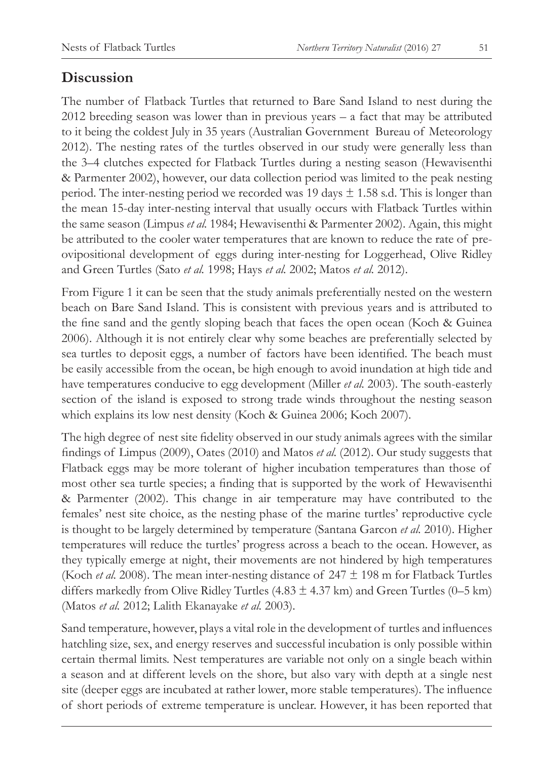## **Discussion**

The number of Flatback Turtles that returned to Bare Sand Island to nest during the 2012 breeding season was lower than in previous years – a fact that may be attributed to it being the coldest July in 35 years (Australian Government Bureau of Meteorology 2012). The nesting rates of the turtles observed in our study were generally less than the 3–4 clutches expected for Flatback Turtles during a nesting season (Hewavisenthi & Parmenter 2002), however, our data collection period was limited to the peak nesting period. The inter-nesting period we recorded was 19 days  $\pm$  1.58 s.d. This is longer than the mean 15-day inter-nesting interval that usually occurs with Flatback Turtles within the same season (Limpus *et al.* 1984; Hewavisenthi & Parmenter 2002). Again, this might be attributed to the cooler water temperatures that are known to reduce the rate of preovipositional development of eggs during inter-nesting for Loggerhead, Olive Ridley and Green Turtles (Sato *et al.* 1998; Hays *et al.* 2002; Matos *et al.* 2012).

From Figure 1 it can be seen that the study animals preferentially nested on the western beach on Bare Sand Island. This is consistent with previous years and is attributed to the fine sand and the gently sloping beach that faces the open ocean (Koch & Guinea 2006). Although it is not entirely clear why some beaches are preferentially selected by sea turtles to deposit eggs, a number of factors have been identified. The beach must be easily accessible from the ocean, be high enough to avoid inundation at high tide and have temperatures conducive to egg development (Miller *et al.* 2003). The south-easterly section of the island is exposed to strong trade winds throughout the nesting season which explains its low nest density (Koch & Guinea 2006; Koch 2007).

The high degree of nest site fidelity observed in our study animals agrees with the similar findings of Limpus (2009), Oates (2010) and Matos *et al.* (2012). Our study suggests that Flatback eggs may be more tolerant of higher incubation temperatures than those of most other sea turtle species; a finding that is supported by the work of Hewavisenthi & Parmenter (2002). This change in air temperature may have contributed to the females' nest site choice, as the nesting phase of the marine turtles' reproductive cycle is thought to be largely determined by temperature (Santana Garcon *et al.* 2010). Higher temperatures will reduce the turtles' progress across a beach to the ocean. However, as they typically emerge at night, their movements are not hindered by high temperatures (Koch *et al.* 2008). The mean inter-nesting distance of 247 ± 198 m for Flatback Turtles differs markedly from Olive Ridley Turtles  $(4.83 \pm 4.37 \text{ km})$  and Green Turtles  $(0-5 \text{ km})$ (Matos *et al.* 2012; Lalith Ekanayake *et al.* 2003).

Sand temperature, however, plays a vital role in the development of turtles and influences hatchling size, sex, and energy reserves and successful incubation is only possible within certain thermal limits. Nest temperatures are variable not only on a single beach within a season and at different levels on the shore, but also vary with depth at a single nest site (deeper eggs are incubated at rather lower, more stable temperatures). The influence of short periods of extreme temperature is unclear. However, it has been reported that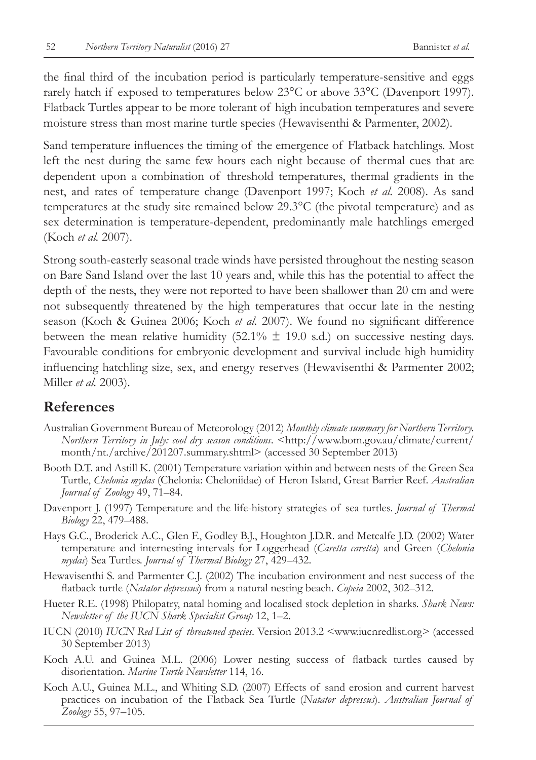the final third of the incubation period is particularly temperature-sensitive and eggs rarely hatch if exposed to temperatures below 23°C or above 33°C (Davenport 1997). Flatback Turtles appear to be more tolerant of high incubation temperatures and severe moisture stress than most marine turtle species (Hewavisenthi & Parmenter, 2002).

Sand temperature influences the timing of the emergence of Flatback hatchlings. Most left the nest during the same few hours each night because of thermal cues that are dependent upon a combination of threshold temperatures, thermal gradients in the nest, and rates of temperature change (Davenport 1997; Koch *et al.* 2008). As sand temperatures at the study site remained below 29.3°C (the pivotal temperature) and as sex determination is temperature-dependent, predominantly male hatchlings emerged (Koch *et al.* 2007).

Strong south-easterly seasonal trade winds have persisted throughout the nesting season on Bare Sand Island over the last 10 years and, while this has the potential to affect the depth of the nests, they were not reported to have been shallower than 20 cm and were not subsequently threatened by the high temperatures that occur late in the nesting season (Koch & Guinea 2006; Koch *et al.* 2007). We found no significant difference between the mean relative humidity  $(52.1\% \pm 19.0 \text{ s.d.})$  on successive nesting days. Favourable conditions for embryonic development and survival include high humidity influencing hatchling size, sex, and energy reserves (Hewavisenthi & Parmenter 2002; Miller *et al.* 2003).

#### **References**

- Australian Government Bureau of Meteorology (2012) *Monthly climate summary for Northern Territory. Northern Territory in July: cool dry season conditions*. <http://www.bom.gov.au/climate/current/ month/nt./archive/201207.summary.shtml> (accessed 30 September 2013)
- Booth D.T. and Astill K. (2001) Temperature variation within and between nests of the Green Sea Turtle, *Chelonia mydas* (Chelonia: Cheloniidae) of Heron Island, Great Barrier Reef. *Australian Journal of Zoology* 49, 71–84.
- Davenport J. (1997) Temperature and the life-history strategies of sea turtles. *Journal of Thermal Biology* 22, 479–488.
- Hays G.C., Broderick A.C., Glen F., Godley B.J., Houghton J.D.R. and Metcalfe J.D. (2002) Water temperature and internesting intervals for Loggerhead (*Caretta caretta*) and Green (*Chelonia mydas*) Sea Turtles. *Journal of Thermal Biology* 27, 429–432.
- Hewavisenthi S. and Parmenter C.J. (2002) The incubation environment and nest success of the flatback turtle (*Natator depressus*) from a natural nesting beach. *Copeia* 2002, 302–312.
- Hueter R.E. (1998) Philopatry, natal homing and localised stock depletion in sharks. *Shark News: Newsletter of the IUCN Shark Specialist Group* 12, 1–2.
- IUCN (2010) *IUCN Red List of threatened species*. Version 2013.2 <www.iucnredlist.org> (accessed 30 September 2013)
- Koch A.U. and Guinea M.L. (2006) Lower nesting success of flatback turtles caused by disorientation. *Marine Turtle Newsletter* 114, 16.
- Koch A.U., Guinea M.L., and Whiting S.D. (2007) Effects of sand erosion and current harvest practices on incubation of the Flatback Sea Turtle (*Natator depressus*). *Australian Journal of Zoology* 55, 97–105.